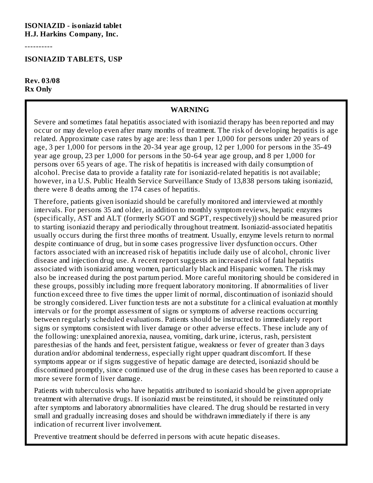#### **ISONIAZID - isoniazid tablet H.J. Harkins Company, Inc.**

----------

#### **ISONIAZID TABLETS, USP**

**Rev. 03/08 Rx Only**

#### **WARNING**

Severe and sometimes fatal hepatitis associated with isoniazid therapy has been reported and may occur or may develop even after many months of treatment. The risk of developing hepatitis is age related. Approximate case rates by age are: less than 1 per 1,000 for persons under 20 years of age, 3 per 1,000 for persons in the 20-34 year age group, 12 per 1,000 for persons in the 35-49 year age group, 23 per 1,000 for persons in the 50-64 year age group, and 8 per 1,000 for persons over 65 years of age. The risk of hepatitis is increased with daily consumption of alcohol. Precise data to provide a fatality rate for isoniazid-related hepatitis is not available; however, in a U.S. Public Health Service Surveillance Study of 13,838 persons taking isoniazid, there were 8 deaths among the 174 cases of hepatitis.

Therefore, patients given isoniazid should be carefully monitored and interviewed at monthly intervals. For persons 35 and older, in addition to monthly symptom reviews, hepatic enzymes (specifically, AST and ALT (formerly SGOT and SGPT, respectively)) should be measured prior to starting isoniazid therapy and periodically throughout treatment. Isoniazid-associated hepatitis usually occurs during the first three months of treatment. Usually, enzyme levels return to normal despite continuance of drug, but in some cases progressive liver dysfunction occurs. Other factors associated with an increased risk of hepatitis include daily use of alcohol, chronic liver disease and injection drug use. A recent report suggests an increased risk of fatal hepatitis associated with isoniazid among women, particularly black and Hispanic women. The risk may also be increased during the post partum period. More careful monitoring should be considered in these groups, possibly including more frequent laboratory monitoring. If abnormalities of liver function exceed three to five times the upper limit of normal, discontinuation of isoniazid should be strongly considered. Liver function tests are not a substitute for a clinical evaluation at monthly intervals or for the prompt assessment of signs or symptoms of adverse reactions occurring between regularly scheduled evaluations. Patients should be instructed to immediately report signs or symptoms consistent with liver damage or other adverse effects. These include any of the following: unexplained anorexia, nausea, vomiting, dark urine, icterus, rash, persistent paresthesias of the hands and feet, persistent fatigue, weakness or fever of greater than 3 days duration and/or abdominal tenderness, especially right upper quadrant discomfort. If these symptoms appear or if signs suggestive of hepatic damage are detected, isoniazid should be discontinued promptly, since continued use of the drug in these cases has been reported to cause a more severe form of liver damage.

Patients with tuberculosis who have hepatitis attributed to isoniazid should be given appropriate treatment with alternative drugs. If isoniazid must be reinstituted, it should be reinstituted only after symptoms and laboratory abnormalities have cleared. The drug should be restarted in very small and gradually increasing doses and should be withdrawn immediately if there is any indication of recurrent liver involvement.

Preventive treatment should be deferred in persons with acute hepatic diseases.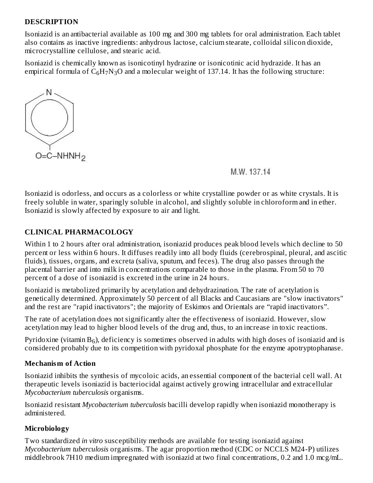### **DESCRIPTION**

Isoniazid is an antibacterial available as 100 mg and 300 mg tablets for oral administration. Each tablet also contains as inactive ingredients: anhydrous lactose, calcium stearate, colloidal silicon dioxide, microcrystalline cellulose, and stearic acid.

Isoniazid is chemically known as isonicotinyl hydrazine or isonicotinic acid hydrazide. It has an empirical formula of  $\rm{C_6H_7N_3O}$  and a molecular weight of 137.14. It has the following structure:



### M.W. 137.14

Isoniazid is odorless, and occurs as a colorless or white crystalline powder or as white crystals. It is freely soluble in water, sparingly soluble in alcohol, and slightly soluble in chloroform and in ether. Isoniazid is slowly affected by exposure to air and light.

### **CLINICAL PHARMACOLOGY**

Within 1 to 2 hours after oral administration, isoniazid produces peak blood levels which decline to 50 percent or less within 6 hours. It diffuses readily into all body fluids (cerebrospinal, pleural, and ascitic fluids), tissues, organs, and excreta (saliva, sputum, and feces). The drug also passes through the placental barrier and into milk in concentrations comparable to those in the plasma. From 50 to 70 percent of a dose of isoniazid is excreted in the urine in 24 hours.

Isoniazid is metabolized primarily by acetylation and dehydrazination. The rate of acetylation is genetically determined. Approximately 50 percent of all Blacks and Caucasians are "slow inactivators" and the rest are "rapid inactivators"; the majority of Eskimos and Orientals are "rapid inactivators".

The rate of acetylation does not significantly alter the effectiveness of isoniazid. However, slow acetylation may lead to higher blood levels of the drug and, thus, to an increase in toxic reactions.

Pyridoxine (vitamin  $B_6$ ), deficiency is sometimes observed in adults with high doses of isoniazid and is considered probably due to its competition with pyridoxal phosphate for the enzyme apotryptophanase.

### **Mechanism of Action**

Isoniazid inhibits the synthesis of mycoloic acids, an essential component of the bacterial cell wall. At therapeutic levels isoniazid is bacteriocidal against actively growing intracellular and extracellular *Mycobacterium tuberculosis* organisms.

Isoniazid resistant *Mycobacterium tuberculosis* bacilli develop rapidly when isoniazid monotherapy is administered.

### **Microbiology**

Two standardized *in vitro* susceptibility methods are available for testing isoniazid against *Mycobacterium tuberculosis* organisms. The agar proportion method (CDC or NCCLS M24-P) utilizes middlebrook 7H10 medium impregnated with isoniazid at two final concentrations, 0.2 and 1.0 mcg/mL.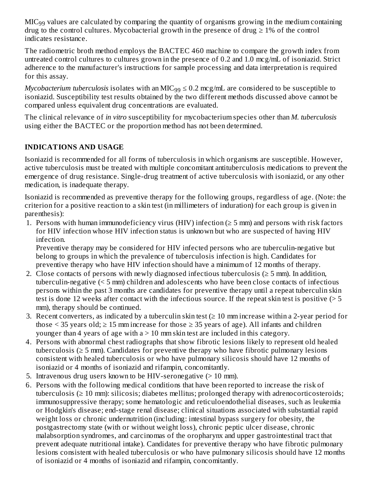$\rm{MIC}_{99}$  values are calculated by comparing the quantity of organisms growing in the medium containing drug to the control cultures. Mycobacterial growth in the presence of drug  $\geq 1\%$  of the control indicates resistance.

The radiometric broth method employs the BACTEC 460 machine to compare the growth index from untreated control cultures to cultures grown in the presence of 0.2 and 1.0 mcg/mL of isoniazid. Strict adherence to the manufacturer's instructions for sample processing and data interpretation is required for this assay.

 $Mycobacterium \tuberculosis \t isolates \ with \ an \ MIC_{99} \leq 0.2 \lncg/mL \ \ are \ considered \ to \ be \ susceptible \ to$ isoniazid. Susceptibility test results obtained by the two different methods discussed above cannot be compared unless equivalent drug concentrations are evaluated.

The clinical relevance of *in vitro* susceptibility for mycobacterium species other than *M. tuberculosis* using either the BACTEC or the proportion method has not been determined.

### **INDICATIONS AND USAGE**

Isoniazid is recommended for all forms of tuberculosis in which organisms are susceptible. However, active tuberculosis must be treated with multiple concomitant antituberculosis medications to prevent the emergence of drug resistance. Single-drug treatment of active tuberculosis with isoniazid, or any other medication, is inadequate therapy.

Isoniazid is recommended as preventive therapy for the following groups, regardless of age. (Note: the criterion for a positive reaction to a skin test (in millimeters of induration) for each group is given in parenthesis):

1. Persons with human immunodeficiency virus (HIV) infection ( $\geq$  5 mm) and persons with risk factors for HIV infection whose HIV infection status is unknown but who are suspected of having HIV infection.

Preventive therapy may be considered for HIV infected persons who are tuberculin-negative but belong to groups in which the prevalence of tuberculosis infection is high. Candidates for preventive therapy who have HIV infection should have a minimum of 12 months of therapy.

- 2. Close contacts of persons with newly diagnosed infectious tuberculosis ( $\geq$  5 mm). In addition, tuberculin-negative (< 5 mm) children and adolescents who have been close contacts of infectious persons within the past 3 months are candidates for preventive therapy until a repeat tuberculin skin test is done 12 weeks after contact with the infectious source. If the repeat skin test is positive (> 5 mm), therapy should be continued.
- 3. Recent converters, as indicated by a tuberculin skin test  $( \geq 10 \text{ mm})$  increase within a 2-year period for those  $\le$  35 years old;  $\ge$  15 mm increase for those  $\ge$  35 years of age). All infants and children younger than 4 years of age with a > 10 mm skin test are included in this category.
- 4. Persons with abnormal chest radiographs that show fibrotic lesions likely to represent old healed tuberculosis ( $\geq$  5 mm). Candidates for preventive therapy who have fibrotic pulmonary lesions consistent with healed tuberculosis or who have pulmonary silicosis should have 12 months of isoniazid or 4 months of isoniazid and rifampin, concomitantly.
- 5. Intravenous drug users known to be HIV-seronegative  $(>10$  mm).
- 6. Persons with the following medical conditions that have been reported to increase the risk of tuberculosis ( $\geq 10$  mm): silicosis; diabetes mellitus; prolonged therapy with adrenocorticosteroids; immunosuppressive therapy; some hematologic and reticuloendothelial diseases, such as leukemia or Hodgkin's disease; end-stage renal disease; clinical situations associated with substantial rapid weight loss or chronic undernutrition (including: intestinal bypass surgery for obesity, the postgastrectomy state (with or without weight loss), chronic peptic ulcer disease, chronic malabsorption syndromes, and carcinomas of the oropharynx and upper gastrointestinal tract that prevent adequate nutritional intake). Candidates for preventive therapy who have fibrotic pulmonary lesions consistent with healed tuberculosis or who have pulmonary silicosis should have 12 months of isoniazid or 4 months of isoniazid and rifampin, concomitantly.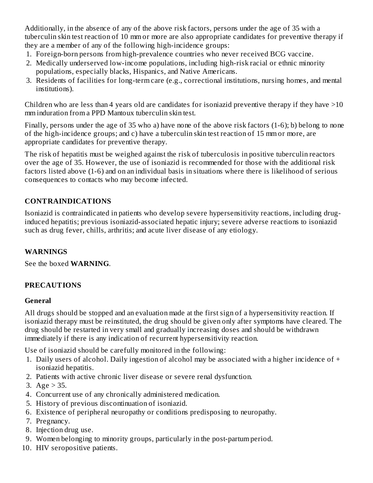Additionally, in the absence of any of the above risk factors, persons under the age of 35 with a tuberculin skin test reaction of 10 mm or more are also appropriate candidates for preventive therapy if they are a member of any of the following high-incidence groups:

- 1. Foreign-born persons from high-prevalence countries who never received BCG vaccine.
- 2. Medically underserved low-income populations, including high-risk racial or ethnic minority populations, especially blacks, Hispanics, and Native Americans.
- 3. Residents of facilities for long-term care (e.g., correctional institutions, nursing homes, and mental institutions).

Children who are less than 4 years old are candidates for isoniazid preventive therapy if they have  $>10$ mm induration from a PPD Mantoux tuberculin skin test.

Finally, persons under the age of 35 who a) have none of the above risk factors (1-6); b) belong to none of the high-incidence groups; and c) have a tuberculin skin test reaction of 15 mm or more, are appropriate candidates for preventive therapy.

The risk of hepatitis must be weighed against the risk of tuberculosis in positive tuberculin reactors over the age of 35. However, the use of isoniazid is recommended for those with the additional risk factors listed above (1-6) and on an individual basis in situations where there is likelihood of serious consequences to contacts who may become infected.

### **CONTRAINDICATIONS**

Isoniazid is contraindicated in patients who develop severe hypersensitivity reactions, including druginduced hepatitis; previous isoniazid-associated hepatic injury; severe adverse reactions to isoniazid such as drug fever, chills, arthritis; and acute liver disease of any etiology.

### **WARNINGS**

See the boxed **WARNING**.

### **PRECAUTIONS**

#### **General**

All drugs should be stopped and an evaluation made at the first sign of a hypersensitivity reaction. If isoniazid therapy must be reinstituted, the drug should be given only after symptoms have cleared. The drug should be restarted in very small and gradually increasing doses and should be withdrawn immediately if there is any indication of recurrent hypersensitivity reaction.

Use of isoniazid should be carefully monitored in the following:

- 1. Daily users of alcohol. Daily ingestion of alcohol may be associated with a higher incidence of + isoniazid hepatitis.
- 2. Patients with active chronic liver disease or severe renal dysfunction.
- 3. Age  $> 35$ .
- 4. Concurrent use of any chronically administered medication.
- 5. History of previous discontinuation of isoniazid.
- 6. Existence of peripheral neuropathy or conditions predisposing to neuropathy.
- 7. Pregnancy.
- 8. Injection drug use.
- 9. Women belonging to minority groups, particularly in the post-partum period.
- 10. HIV seropositive patients.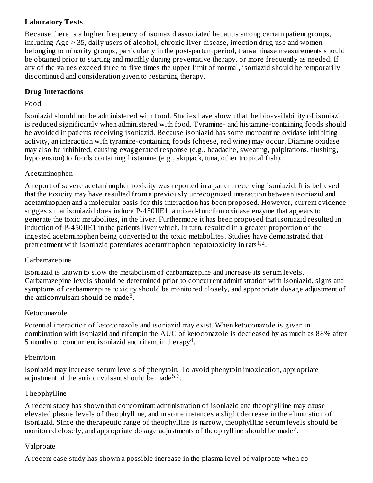### **Laboratory Tests**

Because there is a higher frequency of isoniazid associated hepatitis among certain patient groups, including Age > 35, daily users of alcohol, chronic liver disease, injection drug use and women belonging to minority groups, particularly in the post-partum period, transaminase measurements should be obtained prior to starting and monthly during preventative therapy, or more frequently as needed. If any of the values exceed three to five times the upper limit of normal, isoniazid should be temporarily discontinued and consideration given to restarting therapy.

### **Drug Interactions**

### Food

Isoniazid should not be administered with food. Studies have shown that the bioavailability of isoniazid is reduced significantly when administered with food. Tyramine- and histamine-containing foods should be avoided in patients receiving isoniazid. Because isoniazid has some monoamine oxidase inhibiting activity, an interaction with tyramine-containing foods (cheese, red wine) may occur. Diamine oxidase may also be inhibited, causing exaggerated response (e.g., headache, sweating, palpitations, flushing, hypotension) to foods containing histamine (e.g., skipjack, tuna, other tropical fish).

### Acetaminophen

A report of severe acetaminophen toxicity was reported in a patient receiving isoniazid. It is believed that the toxicity may have resulted from a previously unrecognized interaction between isoniazid and acetaminophen and a molecular basis for this interaction has been proposed. However, current evidence suggests that isoniazid does induce P-450IIE1, a mixed-function oxidase enzyme that appears to generate the toxic metabolites, in the liver. Furthermore it has been proposed that isoniazid resulted in induction of P-450IIE1 in the patients liver which, in turn, resulted in a greater proportion of the ingested acetaminophen being converted to the toxic metabolites. Studies have demonstrated that pretreatment with isoniazid potentiates acetaminophen hepatotoxicity in rats  $1.2$ .

### Carbamazepine

Isoniazid is known to slow the metabolism of carbamazepine and increase its serum levels. Carbamazepine levels should be determined prior to concurrent administration with isoniazid, signs and symptoms of carbamazepine toxicity should be monitored closely, and appropriate dosage adjustment of the anticonvulsant should be made<sup>3</sup>.

### Ketoconazole

Potential interaction of ketoconazole and isoniazid may exist. When ketoconazole is given in combination with isoniazid and rifampin the AUC of ketoconazole is decreased by as much as 88% after 5 months of concurrent isoniazid and rifampin therapy<sup>4</sup>.

### Phenytoin

Isoniazid may increase serum levels of phenytoin. To avoid phenytoin intoxication, appropriate adjustment of the anticonvulsant should be made<sup>5,6</sup>.

### Theophylline

A recent study has shown that concomitant administration of isoniazid and theophylline may cause elevated plasma levels of theophylline, and in some instances a slight decrease in the elimination of isoniazid. Since the therapeutic range of theophylline is narrow, theophylline serum levels should be monitored closely, and appropriate dosage adjustments of theophylline should be made<sup>7</sup>.

### Valproate

A recent case study has shown a possible increase in the plasma level of valproate when co-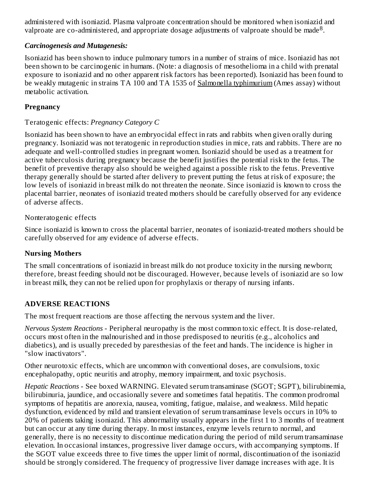administered with isoniazid. Plasma valproate concentration should be monitored when isoniazid and valproate are co-administered, and appropriate dosage adjustments of valproate should be made<sup>8</sup>.

### *Carcinogenesis and Mutagenesis:*

Isoniazid has been shown to induce pulmonary tumors in a number of strains of mice. Isoniazid has not been shown to be carcinogenic in humans. (Note: a diagnosis of mesothelioma in a child with prenatal exposure to isoniazid and no other apparent risk factors has been reported). Isoniazid has been found to be weakly mutagenic in strains TA 100 and TA 1535 of Salmonella typhimurium (Ames assay) without metabolic activation.

### **Pregnancy**

### Teratogenic effects: *Pregnancy Category C*

Isoniazid has been shown to have an embryocidal effect in rats and rabbits when given orally during pregnancy. Isoniazid was not teratogenic in reproduction studies in mice, rats and rabbits. There are no adequate and well-controlled studies in pregnant women. Isoniazid should be used as a treatment for active tuberculosis during pregnancy because the benefit justifies the potential risk to the fetus. The benefit of preventive therapy also should be weighed against a possible risk to the fetus. Preventive therapy generally should be started after delivery to prevent putting the fetus at risk of exposure; the low levels of isoniazid in breast milk do not threaten the neonate. Since isoniazid is known to cross the placental barrier, neonates of isoniazid treated mothers should be carefully observed for any evidence of adverse affects.

#### Nonteratogenic effects

Since isoniazid is known to cross the placental barrier, neonates of isoniazid-treated mothers should be carefully observed for any evidence of adverse effects.

#### **Nursing Mothers**

The small concentrations of isoniazid in breast milk do not produce toxicity in the nursing newborn; therefore, breast feeding should not be discouraged. However, because levels of isoniazid are so low in breast milk, they can not be relied upon for prophylaxis or therapy of nursing infants.

### **ADVERSE REACTIONS**

The most frequent reactions are those affecting the nervous system and the liver.

*Nervous System Reactions* - Peripheral neuropathy is the most common toxic effect. It is dose-related, occurs most often in the malnourished and in those predisposed to neuritis (e.g., alcoholics and diabetics), and is usually preceded by paresthesias of the feet and hands. The incidence is higher in "slow inactivators".

Other neurotoxic effects, which are uncommon with conventional doses, are convulsions, toxic encephalopathy, optic neuritis and atrophy, memory impairment, and toxic psychosis.

*Hepatic Reactions* - See boxed WARNING. Elevated serum transaminase (SGOT; SGPT), bilirubinemia, bilirubinuria, jaundice, and occasionally severe and sometimes fatal hepatitis. The common prodromal symptoms of hepatitis are anorexia, nausea, vomiting, fatigue, malaise, and weakness. Mild hepatic dysfunction, evidenced by mild and transient elevation of serum transaminase levels occurs in 10% to 20% of patients taking isoniazid. This abnormality usually appears in the first 1 to 3 months of treatment but can occur at any time during therapy. In most instances, enzyme levels return to normal, and generally, there is no necessity to discontinue medication during the period of mild serum transaminase elevation. In occasional instances, progressive liver damage occurs, with accompanying symptoms. If the SGOT value exceeds three to five times the upper limit of normal, discontinuation of the isoniazid should be strongly considered. The frequency of progressive liver damage increases with age. It is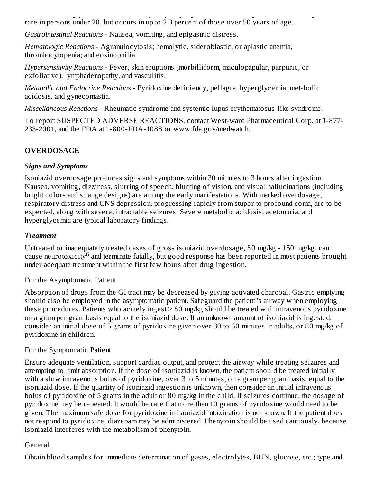should be strongly considered. The frequency of progressive liver damage increases with age. It is rare in persons under 20, but occurs in up to 2.3 percent of those over 50 years of age.

*Gastrointestinal Reactions* - Nausea, vomiting, and epigastric distress.

*Hematologic Reactions* - Agranulocytosis; hemolytic, sideroblastic, or aplastic anemia, thrombocytopenia; and eosinophilia.

*Hypersensitivity Reactions* - Fever, skin eruptions (morbilliform, maculopapular, purpuric, or exfoliative), lymphadenopathy, and vasculitis.

*Metabolic and Endocrine Reactions* - Pyridoxine deficiency, pellagra, hyperglycemia, metabolic acidosis, and gynecomastia.

*Miscellaneous Reactions* - Rheumatic syndrome and systemic lupus erythematosus-like syndrome.

To report SUSPECTED ADVERSE REACTIONS, contact West-ward Pharmaceutical Corp. at 1-877- 233-2001, and the FDA at 1-800-FDA-1088 or www.fda.gov/medwatch.

# **OVERDOSAGE**

### *Signs and Symptoms*

Isoniazid overdosage produces signs and symptoms within 30 minutes to 3 hours after ingestion. Nausea, vomiting, dizziness, slurring of speech, blurring of vision, and visual hallucinations (including bright colors and strange designs) are among the early manifestations. With marked overdosage, respiratory distress and CNS depression, progressing rapidly from stupor to profound coma, are to be expected, along with severe, intractable seizures. Severe metabolic acidosis, acetonuria, and hyperglycemia are typical laboratory findings.

### *Treatment*

Untreated or inadequately treated cases of gross isoniazid overdosage, 80 mg/kg - 150 mg/kg, can cause neurotoxicity<sup>6</sup> and terminate fatally, but good response has been reported in most patients brought under adequate treatment within the first few hours after drug ingestion.

#### For the Asymptomatic Patient

Absorption of drugs from the GI tract may be decreased by giving activated charcoal. Gastric emptying should also be employed in the asymptomatic patient. Safeguard the patient"s airway when employing these procedures. Patients who acutely ingest > 80 mg/kg should be treated with intravenous pyridoxine on a gram per gram basis equal to the isoniazid dose. If an unknown amount of isoniazid is ingested, consider an initial dose of 5 grams of pyridoxine given over 30 to 60 minutes in adults, or 80 mg/kg of pyridoxine in children.

#### For the Symptomatic Patient

Ensure adequate ventilation, support cardiac output, and protect the airway while treating seizures and attempting to limit absorption. If the dose of isoniazid is known, the patient should be treated initially with a slow intravenous bolus of pyridoxine, over 3 to 5 minutes, on a gram per gram basis, equal to the isoniazid dose. If the quantity of isoniazid ingestion is unknown, then consider an initial intravenous bolus of pyridoxine of 5 grams in the adult or 80 mg/kg in the child. If seizures continue, the dosage of pyridoxine may be repeated. It would be rare that more than 10 grams of pyridoxine would need to be given. The maximum safe dose for pyridoxine in isoniazid intoxication is not known. If the patient does not respond to pyridoxine, diazepam may be administered. Phenytoin should be used cautiously, because isoniazid interferes with the metabolism of phenytoin.

### General

Obtain blood samples for immediate determination of gases, electrolytes, BUN, glucose, etc.; type and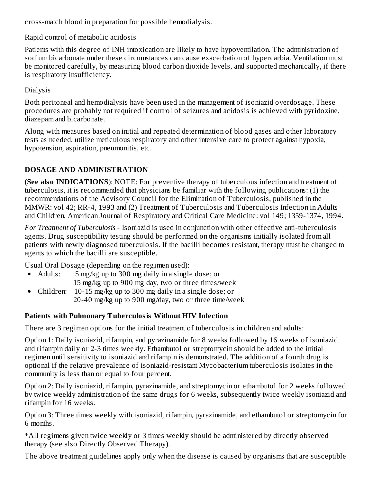cross-match blood in preparation for possible hemodialysis.

Rapid control of metabolic acidosis

Patients with this degree of INH intoxication are likely to have hypoventilation. The administration of sodium bicarbonate under these circumstances can cause exacerbation of hypercarbia. Ventilation must be monitored carefully, by measuring blood carbon dioxide levels, and supported mechanically, if there is respiratory insufficiency.

### Dialysis

Both peritoneal and hemodialysis have been used in the management of isoniazid overdosage. These procedures are probably not required if control of seizures and acidosis is achieved with pyridoxine, diazepam and bicarbonate.

Along with measures based on initial and repeated determination of blood gases and other laboratory tests as needed, utilize meticulous respiratory and other intensive care to protect against hypoxia, hypotension, aspiration, pneumonitis, etc.

# **DOSAGE AND ADMINISTRATION**

(**See also INDICATIONS**): NOTE: For preventive therapy of tuberculous infection and treatment of tuberculosis, it is recommended that physicians be familiar with the following publications: (1) the recommendations of the Advisory Council for the Elimination of Tuberculosis, published in the MMWR: vol 42; RR-4, 1993 and (2) Treatment of Tuberculosis and Tuberculosis Infection in Adults and Children, American Journal of Respiratory and Critical Care Medicine: vol 149; 1359-1374, 1994.

*For Treatment of Tuberculosis* - Isoniazid is used in conjunction with other effective anti-tuberculosis agents. Drug susceptibility testing should be performed on the organisms initially isolated from all patients with newly diagnosed tuberculosis. If the bacilli becomes resistant, therapy must be changed to agents to which the bacilli are susceptible.

Usual Oral Dosage (depending on the regimen used):

- Adults: 5 mg/kg up to 300 mg daily in a single dose; or 15 mg/kg up to 900 mg day, two or three times/week
- Children: 10-15 mg/kg up to 300 mg daily in a single dose; or  $\bullet$ 20-40 mg/kg up to 900 mg/day, two or three time/week

# **Patients with Pulmonary Tuberculosis Without HIV Infection**

There are 3 regimen options for the initial treatment of tuberculosis in children and adults:

Option 1: Daily isoniazid, rifampin, and pyrazinamide for 8 weeks followed by 16 weeks of isoniazid and rifampin daily or 2-3 times weekly. Ethambutol or streptomycin should be added to the initial regimen until sensitivity to isoniazid and rifampin is demonstrated. The addition of a fourth drug is optional if the relative prevalence of isoniazid-resistant Mycobacterium tuberculosis isolates in the community is less than or equal to four percent.

Option 2: Daily isoniazid, rifampin, pyrazinamide, and streptomycin or ethambutol for 2 weeks followed by twice weekly administration of the same drugs for 6 weeks, subsequently twice weekly isoniazid and rifampin for 16 weeks.

Option 3: Three times weekly with isoniazid, rifampin, pyrazinamide, and ethambutol or streptomycin for 6 months.

\*All regimens given twice weekly or 3 times weekly should be administered by directly observed therapy (see also Directly Observed Therapy).

The above treatment guidelines apply only when the disease is caused by organisms that are susceptible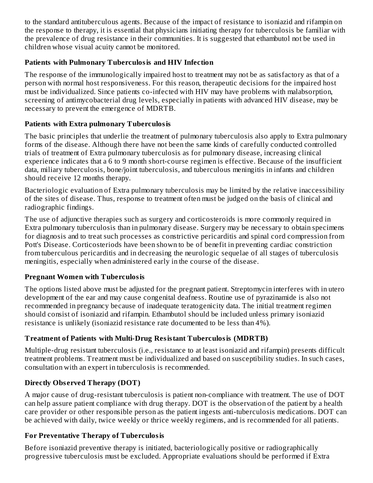to the standard antituberculous agents. Because of the impact of resistance to isoniazid and rifampin on the response to therapy, it is essential that physicians initiating therapy for tuberculosis be familiar with the prevalence of drug resistance in their communities. It is suggested that ethambutol not be used in children whose visual acuity cannot be monitored.

### **Patients with Pulmonary Tuberculosis and HIV Infection**

The response of the immunologically impaired host to treatment may not be as satisfactory as that of a person with normal host responsiveness. For this reason, therapeutic decisions for the impaired host must be individualized. Since patients co-infected with HIV may have problems with malabsorption, screening of antimycobacterial drug levels, especially in patients with advanced HIV disease, may be necessary to prevent the emergence of MDRTB.

### **Patients with Extra pulmonary Tuberculosis**

The basic principles that underlie the treatment of pulmonary tuberculosis also apply to Extra pulmonary forms of the disease. Although there have not been the same kinds of carefully conducted controlled trials of treatment of Extra pulmonary tuberculosis as for pulmonary disease, increasing clinical experience indicates that a 6 to 9 month short-course regimen is effective. Because of the insufficient data, miliary tuberculosis, bone/joint tuberculosis, and tuberculous meningitis in infants and children should receive 12 months therapy.

Bacteriologic evaluation of Extra pulmonary tuberculosis may be limited by the relative inaccessibility of the sites of disease. Thus, response to treatment often must be judged on the basis of clinical and radiographic findings.

The use of adjunctive therapies such as surgery and corticosteroids is more commonly required in Extra pulmonary tuberculosis than in pulmonary disease. Surgery may be necessary to obtain specimens for diagnosis and to treat such processes as constrictive pericarditis and spinal cord compression from Pott's Disease. Corticosteriods have been shown to be of benefit in preventing cardiac constriction from tuberculous pericarditis and in decreasing the neurologic sequelae of all stages of tuberculosis meningitis, especially when administered early in the course of the disease.

### **Pregnant Women with Tuberculosis**

The options listed above must be adjusted for the pregnant patient. Streptomycin interferes with in utero development of the ear and may cause congenital deafness. Routine use of pyrazinamide is also not recommended in pregnancy because of inadequate teratogenicity data. The initial treatment regimen should consist of isoniazid and rifampin. Ethambutol should be included unless primary isoniazid resistance is unlikely (isoniazid resistance rate documented to be less than 4%).

### **Treatment of Patients with Multi-Drug Resistant Tuberculosis (MDRTB)**

Multiple-drug resistant tuberculosis (i.e., resistance to at least isoniazid and rifampin) presents difficult treatment problems. Treatment must be individualized and based on susceptibility studies. In such cases, consultation with an expert in tuberculosis is recommended.

# **Directly Obs erved Therapy (DOT)**

A major cause of drug-resistant tuberculosis is patient non-compliance with treatment. The use of DOT can help assure patient compliance with drug therapy. DOT is the observation of the patient by a health care provider or other responsible person as the patient ingests anti-tuberculosis medications. DOT can be achieved with daily, twice weekly or thrice weekly regimens, and is recommended for all patients.

### **For Preventative Therapy of Tuberculosis**

Before isoniazid preventive therapy is initiated, bacteriologically positive or radiographically progressive tuberculosis must be excluded. Appropriate evaluations should be performed if Extra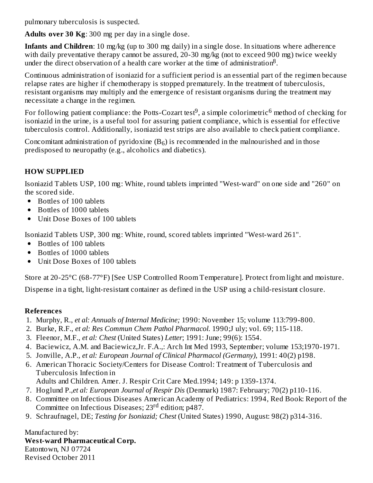pulmonary tuberculosis is suspected.

**Adults over 30 Kg**: 300 mg per day in a single dose.

**Infants and Children**: 10 mg/kg (up to 300 mg daily) in a single dose. In situations where adherence with daily preventative therapy cannot be assured, 20-30 mg/kg (not to exceed 900 mg) twice weekly under the direct observation of a health care worker at the time of administration<sup>8</sup>.

Continuous administration of isoniazid for a sufficient period is an essential part of the regimen because relapse rates are higher if chemotherapy is stopped prematurely. In the treatment of tuberculosis, resistant organisms may multiply and the emergence of resistant organisms during the treatment may necessitate a change in the regimen.

For following patient compliance: the Potts-Cozart test<sup>9</sup>, a simple colorimetric<sup>6</sup> method of checking for isoniazid in the urine, is a useful tool for assuring patient compliance, which is essential for effective tuberculosis control. Additionally, isoniazid test strips are also available to check patient compliance.

Concomitant administration of pyridoxine  $(B_6)$  is recommended in the malnourished and in those predisposed to neuropathy (e.g., alcoholics and diabetics).

### **HOW SUPPLIED**

Isoniazid Tablets USP, 100 mg: White, round tablets imprinted "West-ward" on one side and "260" on the scored side.

- Bottles of 100 tablets
- Bottles of 1000 tablets
- Unit Dose Boxes of 100 tablets

Isoniazid Tablets USP, 300 mg: White, round, scored tablets imprinted "West-ward 261".

- Bottles of 100 tablets
- Bottles of 1000 tablets
- Unit Dose Boxes of 100 tablets

Store at 20-25°C (68-77°F) [See USP Controlled Room Temperature]. Protect from light and moisture.

Dispense in a tight, light-resistant container as defined in the USP using a child-resistant closure.

#### **References**

- 1. Murphy, R., *et al: Annuals of Internal Medicine;* 1990: November 15; volume 113:799-800.
- 2. Burke, R.F., *et al: Res Commun Chem Pathol Pharmacol*. 1990;J uly; vol. 69; 115-118.
- 3. Fleenor, M.F., *et al: Chest* (United States) *Letter*; 1991: June; 99(6): 1554.
- 4. Baciewicz, A.M. and Baciewicz,Jr. F.A.,: Arch Int Med 1993, September; volume 153;1970-1971.
- 5. Jonville, A.P., *et al: European Journal of Clinical Pharmacol (Germany)*, 1991: 40(2) p198.
- 6. American Thoracic Society/Centers for Disease Control: Treatment of Tuberculosis and Tuberculosis Infection in

Adults and Children. Amer. J. Respir Crit Care Med.1994; 149: p 1359-1374.

- 7. Hoglund P.,*et al: European Journal of Respir Dis* (Denmark) 1987: February; 70(2) p110-116.
- 8. Committee on Infectious Diseases American Academy of Pediatrics: 1994, Red Book: Report of the Committee on Infectious Diseases; 23<sup>rd</sup> edition; p487.
- 9. Schraufnagel, DE; *Testing for Isoniazid; Chest* (United States) 1990, August: 98(2) p314-316.

Manufactured by: **West-ward Pharmaceutical Corp.** Eatontown, NJ 07724 Revised October 2011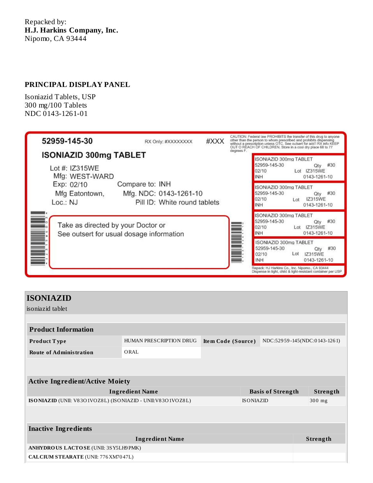Repacked by: **H.J. Harkins Company, Inc.** Nipomo, CA 93444

#### **PRINCIPAL DISPLAY PANEL**

Isoniazid Tablets, USP 300 mg/100 Tablets NDC 0143-1261-01

| 52959-145-30                                                                   | RX Only: #XXXXXXXX                                                        | #XXX |            | CAUTION: Federal law PROHIBITS the transfer of this drug to anyone<br>other than the person to whom prescribed and prohibits dispensing<br>without a prescription unless OTC. See outset for add RX Info KEEP<br>OUT O REACH OF CHILDREN. Store in a cool dry place 68 to 77 |              |                                              |  |
|--------------------------------------------------------------------------------|---------------------------------------------------------------------------|------|------------|------------------------------------------------------------------------------------------------------------------------------------------------------------------------------------------------------------------------------------------------------------------------------|--------------|----------------------------------------------|--|
| <b>ISONIAZID 300mg TABLET</b>                                                  |                                                                           |      | degrees F. | ISONIAZID 300mg TABLET                                                                                                                                                                                                                                                       |              |                                              |  |
| Lot #: IZ315WE<br>Mfg: WEST-WARD                                               |                                                                           |      |            | 52959-145-30<br>02/10<br><b>INH</b>                                                                                                                                                                                                                                          |              | #30<br>Qtv<br>Lot IZ315WE<br>0143-1261-10    |  |
| Exp: 02/10<br>Mfg Eatontown,<br>Loc.: NJ                                       | Compare to: INH<br>Mfg. NDC: 0143-1261-10<br>Pill ID: White round tablets |      |            | ISONIAZID 300mg TABLET<br>52959-145-30<br>02/10<br><b>INH</b>                                                                                                                                                                                                                | $_{\rm tot}$ | #30<br>Qtv<br><b>IZ315WE</b><br>0143-1261-10 |  |
| Take as directed by your Doctor or<br>See outsert for usual dosage information |                                                                           |      |            | ISONIAZID 300mg TABLET<br>52959-145-30<br>02/10<br>INH                                                                                                                                                                                                                       | $ $ ot       | #30<br>Otv<br><b>IZ315WE</b><br>0143-1261-10 |  |
|                                                                                |                                                                           |      |            | ISONIAZID 300mg TABLET<br>52959-145-30<br>02/10<br>INH                                                                                                                                                                                                                       | Lot          | #30<br>Qty<br><b>IZ315WE</b><br>0143-1261-10 |  |
|                                                                                |                                                                           |      |            | Repack: HJ Harkins Co., Inc. Nipomo., CA 93444<br>Dispense in tight, child & light-resistant container per USP                                                                                                                                                               |              |                                              |  |

| <b>ISONIAZID</b>                                           |                         |                    |                  |                              |          |          |  |
|------------------------------------------------------------|-------------------------|--------------------|------------------|------------------------------|----------|----------|--|
| isoniazid tablet                                           |                         |                    |                  |                              |          |          |  |
|                                                            |                         |                    |                  |                              |          |          |  |
| <b>Product Information</b>                                 |                         |                    |                  |                              |          |          |  |
| Product Type                                               | HUMAN PRESCRIPTION DRUG | Item Code (Source) |                  | NDC:52959-145(NDC:0143-1261) |          |          |  |
| <b>Route of Administration</b>                             | ORAL                    |                    |                  |                              |          |          |  |
|                                                            |                         |                    |                  |                              |          |          |  |
|                                                            |                         |                    |                  |                              |          |          |  |
| <b>Active Ingredient/Active Moiety</b>                     |                         |                    |                  |                              |          |          |  |
| <b>Ingredient Name</b>                                     |                         |                    |                  | <b>Basis of Strength</b>     |          | Strength |  |
| ISONIAZID (UNII: V83O1VOZ8L) (ISONIAZID - UNII:V83O1VOZ8L) |                         |                    | <b>ISONIAZID</b> |                              |          | 300 mg   |  |
|                                                            |                         |                    |                  |                              |          |          |  |
|                                                            |                         |                    |                  |                              |          |          |  |
| <b>Inactive Ingredients</b>                                |                         |                    |                  |                              |          |          |  |
| <b>Ingredient Name</b>                                     |                         |                    |                  |                              | Strength |          |  |
| ANHYDROUS LACTOSE (UNII: 3SY5LH9 PMK)                      |                         |                    |                  |                              |          |          |  |
| CALCIUM STEARATE (UNII: 776 XM70 47L)                      |                         |                    |                  |                              |          |          |  |
|                                                            |                         |                    |                  |                              |          |          |  |